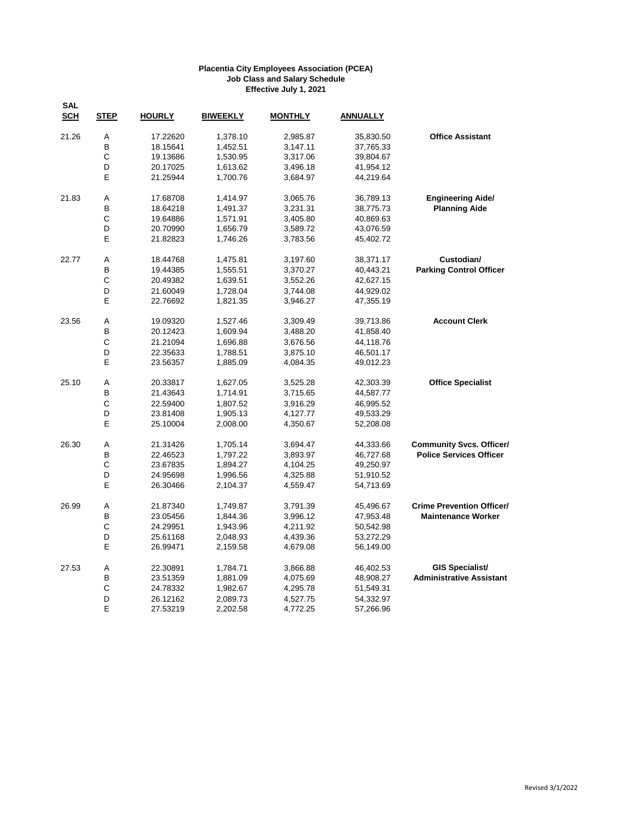| <b>SAL</b><br><b>SCH</b> | <b>STEP</b> | <b>HOURLY</b> | <b>BIWEEKLY</b> | <b>MONTHLY</b> | <b>ANNUALLY</b> |                                  |
|--------------------------|-------------|---------------|-----------------|----------------|-----------------|----------------------------------|
| 21.26                    | Α           | 17.22620      | 1,378.10        | 2,985.87       | 35,830.50       | <b>Office Assistant</b>          |
|                          | B           | 18.15641      | 1,452.51        | 3,147.11       | 37,765.33       |                                  |
|                          | С           | 19.13686      | 1,530.95        | 3,317.06       | 39,804.67       |                                  |
|                          | D           | 20.17025      | 1,613.62        | 3,496.18       | 41,954.12       |                                  |
|                          | E           | 21.25944      | 1,700.76        | 3,684.97       | 44,219.64       |                                  |
| 21.83                    | Α           | 17.68708      | 1,414.97        | 3,065.76       | 36,789.13       | <b>Engineering Aide/</b>         |
|                          | B           | 18.64218      | 1,491.37        | 3,231.31       | 38,775.73       | <b>Planning Aide</b>             |
|                          | С           | 19.64886      | 1,571.91        | 3,405.80       | 40,869.63       |                                  |
|                          | D           | 20.70990      | 1,656.79        | 3,589.72       | 43,076.59       |                                  |
|                          | E           | 21.82823      | 1,746.26        | 3,783.56       | 45,402.72       |                                  |
| 22.77                    | Α           | 18.44768      | 1,475.81        | 3,197.60       | 38,371.17       | Custodian/                       |
|                          | B           | 19.44385      | 1,555.51        | 3,370.27       | 40,443.21       | <b>Parking Control Officer</b>   |
|                          | $\mathsf C$ | 20.49382      | 1,639.51        | 3,552.26       | 42,627.15       |                                  |
|                          | D           | 21.60049      | 1,728.04        | 3,744.08       | 44,929.02       |                                  |
|                          | E           | 22.76692      | 1,821.35        | 3,946.27       | 47,355.19       |                                  |
| 23.56                    | Α           | 19.09320      | 1,527.46        | 3,309.49       | 39,713.86       | <b>Account Clerk</b>             |
|                          | B           | 20.12423      | 1,609.94        | 3,488.20       | 41,858.40       |                                  |
|                          | C           | 21.21094      | 1,696.88        | 3,676.56       | 44,118.76       |                                  |
|                          | D           | 22.35633      | 1,788.51        | 3,875.10       | 46,501.17       |                                  |
|                          | E           | 23.56357      | 1,885.09        | 4,084.35       | 49,012.23       |                                  |
| 25.10                    | Α           | 20.33817      | 1,627.05        | 3,525.28       | 42,303.39       | <b>Office Specialist</b>         |
|                          | B           | 21.43643      | 1,714.91        | 3,715.65       | 44,587.77       |                                  |
|                          | C           | 22.59400      | 1,807.52        | 3,916.29       | 46,995.52       |                                  |
|                          | D           | 23.81408      | 1,905.13        | 4,127.77       | 49,533.29       |                                  |
|                          | E           | 25.10004      | 2,008.00        | 4,350.67       | 52,208.08       |                                  |
| 26.30                    | А           | 21.31426      | 1,705.14        | 3,694.47       | 44,333.66       | <b>Community Svcs. Officer/</b>  |
|                          | B           | 22.46523      | 1,797.22        | 3,893.97       | 46,727.68       | <b>Police Services Officer</b>   |
|                          | С           | 23.67835      | 1,894.27        | 4,104.25       | 49,250.97       |                                  |
|                          | D           | 24.95698      | 1,996.56        | 4,325.88       | 51,910.52       |                                  |
|                          | Е           | 26.30466      | 2,104.37        | 4,559.47       | 54,713.69       |                                  |
| 26.99                    | Α           | 21.87340      | 1,749.87        | 3,791.39       | 45,496.67       | <b>Crime Prevention Officer/</b> |
|                          | B           | 23.05456      | 1,844.36        | 3,996.12       | 47,953.48       | <b>Maintenance Worker</b>        |
|                          | С           | 24.29951      | 1,943.96        | 4,211.92       | 50,542.98       |                                  |
|                          | D           | 25.61168      | 2,048.93        | 4,439.36       | 53,272.29       |                                  |
|                          | E           | 26.99471      | 2,159.58        | 4,679.08       | 56,149.00       |                                  |
| 27.53                    | Α           | 22.30891      | 1,784.71        | 3,866.88       | 46,402.53       | <b>GIS Specialist/</b>           |
|                          | B           | 23.51359      | 1,881.09        | 4,075.69       | 48,908.27       | <b>Administrative Assistant</b>  |
|                          | С           | 24.78332      | 1,982.67        | 4,295.78       | 51,549.31       |                                  |
|                          | D           | 26.12162      | 2,089.73        | 4,527.75       | 54,332.97       |                                  |
|                          | E           | 27.53219      | 2,202.58        | 4,772.25       | 57,266.96       |                                  |
|                          |             |               |                 |                |                 |                                  |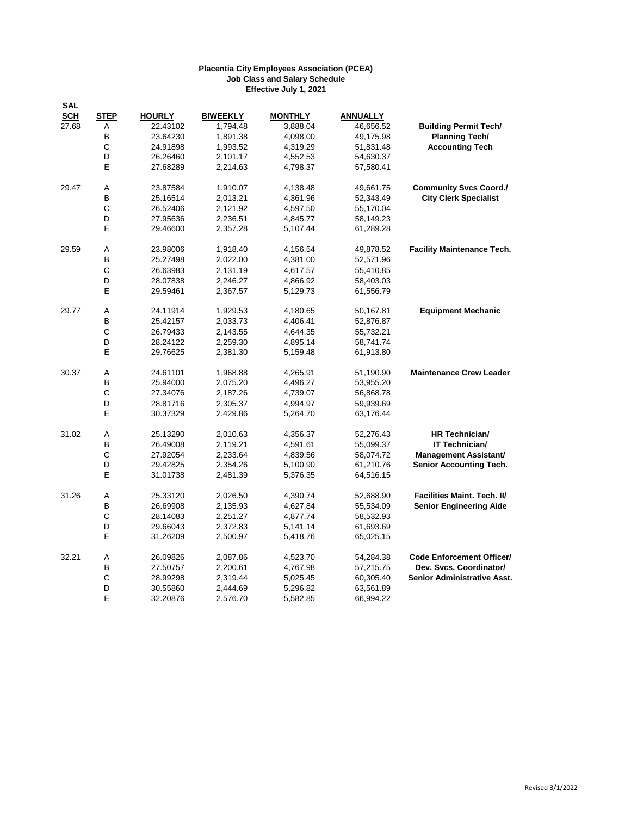| <b>SAL</b> |             |               |                 |                |                 |                                    |
|------------|-------------|---------------|-----------------|----------------|-----------------|------------------------------------|
| <b>SCH</b> | <b>STEP</b> | <b>HOURLY</b> | <b>BIWEEKLY</b> | <b>MONTHLY</b> | <b>ANNUALLY</b> |                                    |
| 27.68      | Α           | 22.43102      | 1,794.48        | 3,888.04       | 46,656.52       | <b>Building Permit Tech/</b>       |
|            | B           | 23.64230      | 1,891.38        | 4,098.00       | 49,175.98       | <b>Planning Tech/</b>              |
|            | С           | 24.91898      | 1,993.52        | 4,319.29       | 51,831.48       | <b>Accounting Tech</b>             |
|            | D           | 26.26460      | 2,101.17        | 4,552.53       | 54,630.37       |                                    |
|            | E           | 27.68289      | 2,214.63        | 4,798.37       | 57,580.41       |                                    |
| 29.47      | Α           | 23.87584      | 1,910.07        | 4,138.48       | 49,661.75       | <b>Community Svcs Coord./</b>      |
|            | B           | 25.16514      | 2,013.21        | 4,361.96       | 52,343.49       | <b>City Clerk Specialist</b>       |
|            | C           | 26.52406      | 2,121.92        | 4,597.50       | 55,170.04       |                                    |
|            | D           | 27.95636      | 2,236.51        | 4,845.77       | 58,149.23       |                                    |
|            | E           | 29.46600      | 2,357.28        | 5,107.44       | 61,289.28       |                                    |
| 29.59      | Α           | 23.98006      | 1,918.40        | 4,156.54       | 49,878.52       | <b>Facility Maintenance Tech.</b>  |
|            | B           | 25.27498      | 2,022.00        | 4,381.00       | 52,571.96       |                                    |
|            | C           | 26.63983      | 2,131.19        | 4,617.57       | 55,410.85       |                                    |
|            | D           | 28.07838      | 2,246.27        | 4,866.92       | 58,403.03       |                                    |
|            | E           | 29.59461      | 2,367.57        | 5,129.73       | 61,556.79       |                                    |
| 29.77      | Α           | 24.11914      | 1,929.53        | 4,180.65       | 50,167.81       | <b>Equipment Mechanic</b>          |
|            | B           | 25.42157      | 2,033.73        | 4,406.41       | 52,876.87       |                                    |
|            | C           | 26.79433      | 2,143.55        | 4,644.35       | 55,732.21       |                                    |
|            | D           | 28.24122      | 2,259.30        | 4,895.14       | 58,741.74       |                                    |
|            | E           | 29.76625      | 2,381.30        | 5,159.48       | 61,913.80       |                                    |
| 30.37      | Α           | 24.61101      | 1,968.88        | 4,265.91       | 51,190.90       | <b>Maintenance Crew Leader</b>     |
|            | в           | 25.94000      | 2,075.20        | 4,496.27       | 53,955.20       |                                    |
|            | С           | 27.34076      | 2,187.26        | 4,739.07       | 56,868.78       |                                    |
|            | D           | 28.81716      | 2,305.37        | 4,994.97       | 59,939.69       |                                    |
|            | Е           | 30.37329      | 2,429.86        | 5,264.70       | 63,176.44       |                                    |
| 31.02      | Α           | 25.13290      | 2,010.63        | 4,356.37       | 52,276.43       | HR Technician/                     |
|            | В           | 26.49008      | 2,119.21        | 4,591.61       | 55,099.37       | IT Technician/                     |
|            | С           | 27.92054      | 2,233.64        | 4,839.56       | 58,074.72       | <b>Management Assistant/</b>       |
|            | D           | 29.42825      | 2,354.26        | 5,100.90       | 61,210.76       | <b>Senior Accounting Tech.</b>     |
|            | E           | 31.01738      | 2,481.39        | 5,376.35       | 64,516.15       |                                    |
| 31.26      | A           | 25.33120      | 2,026.50        | 4,390.74       | 52,688.90       | Facilities Maint. Tech. II/        |
|            | B           | 26.69908      | 2,135.93        | 4,627.84       | 55,534.09       | <b>Senior Engineering Aide</b>     |
|            | С           | 28.14083      | 2,251.27        | 4,877.74       | 58,532.93       |                                    |
|            | D           | 29.66043      | 2,372.83        | 5,141.14       | 61,693.69       |                                    |
|            | E           | 31.26209      | 2,500.97        | 5,418.76       | 65,025.15       |                                    |
| 32.21      | Α           | 26.09826      | 2,087.86        | 4,523.70       | 54,284.38       | <b>Code Enforcement Officer/</b>   |
|            | B           | 27.50757      | 2,200.61        | 4,767.98       | 57,215.75       | Dev. Svcs. Coordinator/            |
|            | C           | 28.99298      | 2,319.44        | 5,025.45       | 60,305.40       | <b>Senior Administrative Asst.</b> |
|            | D           | 30.55860      | 2,444.69        | 5,296.82       | 63,561.89       |                                    |
|            | E           | 32.20876      | 2,576.70        | 5,582.85       | 66,994.22       |                                    |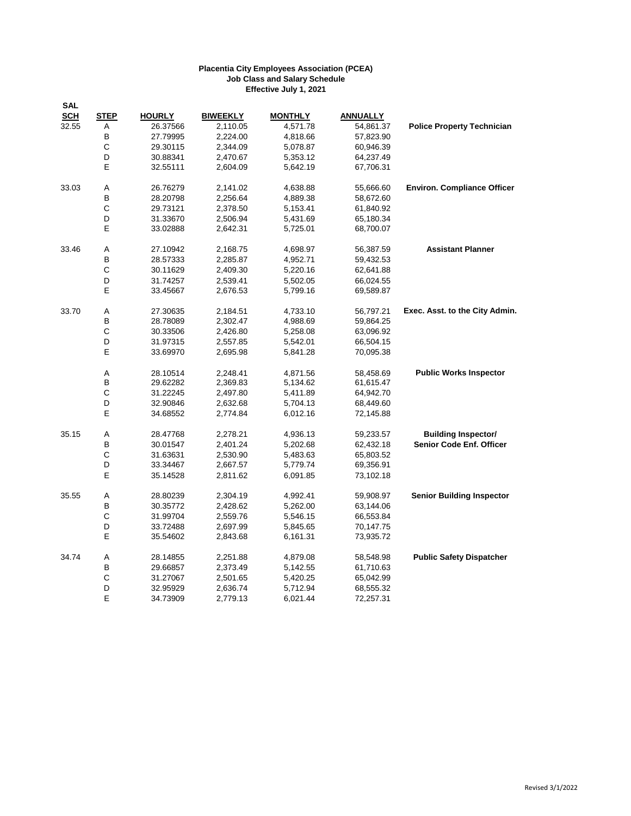| <b>SCH</b><br><b>STEP</b><br><b>HOURLY</b><br><b>BIWEEKLY</b><br><b>MONTHLY</b><br><b>ANNUALLY</b><br>32.55<br>2,110.05<br>4,571.78<br><b>Police Property Technician</b><br>Α<br>26.37566<br>54,861.37<br>B<br>27.79995<br>2,224.00<br>4,818.66<br>57,823.90<br>C<br>29.30115<br>2,344.09<br>5,078.87<br>60,946.39<br>D<br>2,470.67<br>30.88341<br>5,353.12<br>64,237.49<br>E<br>32.55111<br>2,604.09<br>5,642.19<br>67,706.31<br><b>Environ. Compliance Officer</b><br>33.03<br>Α<br>26.76279<br>55,666.60<br>2,141.02<br>4,638.88<br>В<br>28.20798<br>2,256.64<br>4,889.38<br>58,672.60<br>C<br>29.73121<br>2,378.50<br>5,153.41<br>61,840.92<br>D<br>31.33670<br>2,506.94<br>5,431.69<br>65,180.34<br>Е<br>33.02888<br>2,642.31<br>5,725.01<br>68,700.07<br>33.46<br>Α<br>27.10942<br><b>Assistant Planner</b><br>2,168.75<br>4,698.97<br>56,387.59<br>В<br>2,285.87<br>59,432.53<br>28.57333<br>4,952.71<br>С<br>30.11629<br>2,409.30<br>5,220.16<br>62,641.88<br>D<br>31.74257<br>2,539.41<br>5,502.05<br>66,024.55<br>E<br>33.45667<br>2,676.53<br>5,799.16<br>69,589.87<br>Exec. Asst. to the City Admin.<br>33.70<br>Α<br>27.30635<br>2,184.51<br>4,733.10<br>56,797.21<br>В<br>28.78089<br>2,302.47<br>4,988.69<br>59,864.25<br>C<br>30.33506<br>2,426.80<br>5,258.08<br>63,096.92<br>D<br>31.97315<br>2,557.85<br>5,542.01<br>66,504.15<br>Е<br>33.69970<br>2,695.98<br>5,841.28<br>70,095.38<br><b>Public Works Inspector</b><br>Α<br>28.10514<br>2,248.41<br>4,871.56<br>58,458.69<br>В<br>29.62282<br>2,369.83<br>5,134.62<br>61,615.47<br>C<br>31.22245<br>2,497.80<br>5,411.89<br>64,942.70<br>D<br>32.90846<br>2,632.68<br>5,704.13<br>68,449.60<br>E<br>34.68552<br>2,774.84<br>6,012.16<br>72,145.88<br>35.15<br>Α<br>28.47768<br>2,278.21<br>4,936.13<br>59,233.57<br><b>Building Inspector/</b><br>В<br><b>Senior Code Enf. Officer</b><br>30.01547<br>2,401.24<br>5,202.68<br>62,432.18<br>$\mathsf{C}$<br>31.63631<br>2,530.90<br>5,483.63<br>65,803.52<br>D<br>2,667.57<br>33.34467<br>5,779.74<br>69,356.91<br>Е<br>35.14528<br>2,811.62<br>6,091.85<br>73,102.18<br>35.55<br>Α<br><b>Senior Building Inspector</b><br>28.80239<br>2,304.19<br>4,992.41<br>59,908.97<br>B<br>30.35772<br>2,428.62<br>5,262.00<br>63,144.06<br>$\mathsf{C}$<br>31.99704<br>2,559.76<br>5,546.15<br>66,553.84<br>D<br>2,697.99<br>33.72488<br>5,845.65<br>70,147.75<br>E<br>35.54602<br>2,843.68<br>6,161.31<br>73,935.72<br><b>Public Safety Dispatcher</b><br>34.74<br>Α<br>28.14855<br>2,251.88<br>4,879.08<br>58,548.98<br>В<br>29.66857<br>2,373.49<br>61,710.63<br>5,142.55<br>$\mathsf C$<br>31.27067<br>2,501.65<br>5,420.25<br>65,042.99<br>D<br>32.95929<br>2,636.74<br>5,712.94<br>68,555.32<br>E<br>34.73909<br>2,779.13<br>6,021.44<br>72,257.31 | <b>SAL</b> |  |  |  |
|---------------------------------------------------------------------------------------------------------------------------------------------------------------------------------------------------------------------------------------------------------------------------------------------------------------------------------------------------------------------------------------------------------------------------------------------------------------------------------------------------------------------------------------------------------------------------------------------------------------------------------------------------------------------------------------------------------------------------------------------------------------------------------------------------------------------------------------------------------------------------------------------------------------------------------------------------------------------------------------------------------------------------------------------------------------------------------------------------------------------------------------------------------------------------------------------------------------------------------------------------------------------------------------------------------------------------------------------------------------------------------------------------------------------------------------------------------------------------------------------------------------------------------------------------------------------------------------------------------------------------------------------------------------------------------------------------------------------------------------------------------------------------------------------------------------------------------------------------------------------------------------------------------------------------------------------------------------------------------------------------------------------------------------------------------------------------------------------------------------------------------------------------------------------------------------------------------------------------------------------------------------------------------------------------------------------------------------------------------------------------------------------------------------------------------------------------------------------------------------------------------------------------------------------------------------------------------------------------------------------------------------------------------------------------------------------------------------------------------------------------------------------|------------|--|--|--|
|                                                                                                                                                                                                                                                                                                                                                                                                                                                                                                                                                                                                                                                                                                                                                                                                                                                                                                                                                                                                                                                                                                                                                                                                                                                                                                                                                                                                                                                                                                                                                                                                                                                                                                                                                                                                                                                                                                                                                                                                                                                                                                                                                                                                                                                                                                                                                                                                                                                                                                                                                                                                                                                                                                                                                                     |            |  |  |  |
|                                                                                                                                                                                                                                                                                                                                                                                                                                                                                                                                                                                                                                                                                                                                                                                                                                                                                                                                                                                                                                                                                                                                                                                                                                                                                                                                                                                                                                                                                                                                                                                                                                                                                                                                                                                                                                                                                                                                                                                                                                                                                                                                                                                                                                                                                                                                                                                                                                                                                                                                                                                                                                                                                                                                                                     |            |  |  |  |
|                                                                                                                                                                                                                                                                                                                                                                                                                                                                                                                                                                                                                                                                                                                                                                                                                                                                                                                                                                                                                                                                                                                                                                                                                                                                                                                                                                                                                                                                                                                                                                                                                                                                                                                                                                                                                                                                                                                                                                                                                                                                                                                                                                                                                                                                                                                                                                                                                                                                                                                                                                                                                                                                                                                                                                     |            |  |  |  |
|                                                                                                                                                                                                                                                                                                                                                                                                                                                                                                                                                                                                                                                                                                                                                                                                                                                                                                                                                                                                                                                                                                                                                                                                                                                                                                                                                                                                                                                                                                                                                                                                                                                                                                                                                                                                                                                                                                                                                                                                                                                                                                                                                                                                                                                                                                                                                                                                                                                                                                                                                                                                                                                                                                                                                                     |            |  |  |  |
|                                                                                                                                                                                                                                                                                                                                                                                                                                                                                                                                                                                                                                                                                                                                                                                                                                                                                                                                                                                                                                                                                                                                                                                                                                                                                                                                                                                                                                                                                                                                                                                                                                                                                                                                                                                                                                                                                                                                                                                                                                                                                                                                                                                                                                                                                                                                                                                                                                                                                                                                                                                                                                                                                                                                                                     |            |  |  |  |
|                                                                                                                                                                                                                                                                                                                                                                                                                                                                                                                                                                                                                                                                                                                                                                                                                                                                                                                                                                                                                                                                                                                                                                                                                                                                                                                                                                                                                                                                                                                                                                                                                                                                                                                                                                                                                                                                                                                                                                                                                                                                                                                                                                                                                                                                                                                                                                                                                                                                                                                                                                                                                                                                                                                                                                     |            |  |  |  |
|                                                                                                                                                                                                                                                                                                                                                                                                                                                                                                                                                                                                                                                                                                                                                                                                                                                                                                                                                                                                                                                                                                                                                                                                                                                                                                                                                                                                                                                                                                                                                                                                                                                                                                                                                                                                                                                                                                                                                                                                                                                                                                                                                                                                                                                                                                                                                                                                                                                                                                                                                                                                                                                                                                                                                                     |            |  |  |  |
|                                                                                                                                                                                                                                                                                                                                                                                                                                                                                                                                                                                                                                                                                                                                                                                                                                                                                                                                                                                                                                                                                                                                                                                                                                                                                                                                                                                                                                                                                                                                                                                                                                                                                                                                                                                                                                                                                                                                                                                                                                                                                                                                                                                                                                                                                                                                                                                                                                                                                                                                                                                                                                                                                                                                                                     |            |  |  |  |
|                                                                                                                                                                                                                                                                                                                                                                                                                                                                                                                                                                                                                                                                                                                                                                                                                                                                                                                                                                                                                                                                                                                                                                                                                                                                                                                                                                                                                                                                                                                                                                                                                                                                                                                                                                                                                                                                                                                                                                                                                                                                                                                                                                                                                                                                                                                                                                                                                                                                                                                                                                                                                                                                                                                                                                     |            |  |  |  |
|                                                                                                                                                                                                                                                                                                                                                                                                                                                                                                                                                                                                                                                                                                                                                                                                                                                                                                                                                                                                                                                                                                                                                                                                                                                                                                                                                                                                                                                                                                                                                                                                                                                                                                                                                                                                                                                                                                                                                                                                                                                                                                                                                                                                                                                                                                                                                                                                                                                                                                                                                                                                                                                                                                                                                                     |            |  |  |  |
|                                                                                                                                                                                                                                                                                                                                                                                                                                                                                                                                                                                                                                                                                                                                                                                                                                                                                                                                                                                                                                                                                                                                                                                                                                                                                                                                                                                                                                                                                                                                                                                                                                                                                                                                                                                                                                                                                                                                                                                                                                                                                                                                                                                                                                                                                                                                                                                                                                                                                                                                                                                                                                                                                                                                                                     |            |  |  |  |
|                                                                                                                                                                                                                                                                                                                                                                                                                                                                                                                                                                                                                                                                                                                                                                                                                                                                                                                                                                                                                                                                                                                                                                                                                                                                                                                                                                                                                                                                                                                                                                                                                                                                                                                                                                                                                                                                                                                                                                                                                                                                                                                                                                                                                                                                                                                                                                                                                                                                                                                                                                                                                                                                                                                                                                     |            |  |  |  |
|                                                                                                                                                                                                                                                                                                                                                                                                                                                                                                                                                                                                                                                                                                                                                                                                                                                                                                                                                                                                                                                                                                                                                                                                                                                                                                                                                                                                                                                                                                                                                                                                                                                                                                                                                                                                                                                                                                                                                                                                                                                                                                                                                                                                                                                                                                                                                                                                                                                                                                                                                                                                                                                                                                                                                                     |            |  |  |  |
|                                                                                                                                                                                                                                                                                                                                                                                                                                                                                                                                                                                                                                                                                                                                                                                                                                                                                                                                                                                                                                                                                                                                                                                                                                                                                                                                                                                                                                                                                                                                                                                                                                                                                                                                                                                                                                                                                                                                                                                                                                                                                                                                                                                                                                                                                                                                                                                                                                                                                                                                                                                                                                                                                                                                                                     |            |  |  |  |
|                                                                                                                                                                                                                                                                                                                                                                                                                                                                                                                                                                                                                                                                                                                                                                                                                                                                                                                                                                                                                                                                                                                                                                                                                                                                                                                                                                                                                                                                                                                                                                                                                                                                                                                                                                                                                                                                                                                                                                                                                                                                                                                                                                                                                                                                                                                                                                                                                                                                                                                                                                                                                                                                                                                                                                     |            |  |  |  |
|                                                                                                                                                                                                                                                                                                                                                                                                                                                                                                                                                                                                                                                                                                                                                                                                                                                                                                                                                                                                                                                                                                                                                                                                                                                                                                                                                                                                                                                                                                                                                                                                                                                                                                                                                                                                                                                                                                                                                                                                                                                                                                                                                                                                                                                                                                                                                                                                                                                                                                                                                                                                                                                                                                                                                                     |            |  |  |  |
|                                                                                                                                                                                                                                                                                                                                                                                                                                                                                                                                                                                                                                                                                                                                                                                                                                                                                                                                                                                                                                                                                                                                                                                                                                                                                                                                                                                                                                                                                                                                                                                                                                                                                                                                                                                                                                                                                                                                                                                                                                                                                                                                                                                                                                                                                                                                                                                                                                                                                                                                                                                                                                                                                                                                                                     |            |  |  |  |
|                                                                                                                                                                                                                                                                                                                                                                                                                                                                                                                                                                                                                                                                                                                                                                                                                                                                                                                                                                                                                                                                                                                                                                                                                                                                                                                                                                                                                                                                                                                                                                                                                                                                                                                                                                                                                                                                                                                                                                                                                                                                                                                                                                                                                                                                                                                                                                                                                                                                                                                                                                                                                                                                                                                                                                     |            |  |  |  |
|                                                                                                                                                                                                                                                                                                                                                                                                                                                                                                                                                                                                                                                                                                                                                                                                                                                                                                                                                                                                                                                                                                                                                                                                                                                                                                                                                                                                                                                                                                                                                                                                                                                                                                                                                                                                                                                                                                                                                                                                                                                                                                                                                                                                                                                                                                                                                                                                                                                                                                                                                                                                                                                                                                                                                                     |            |  |  |  |
|                                                                                                                                                                                                                                                                                                                                                                                                                                                                                                                                                                                                                                                                                                                                                                                                                                                                                                                                                                                                                                                                                                                                                                                                                                                                                                                                                                                                                                                                                                                                                                                                                                                                                                                                                                                                                                                                                                                                                                                                                                                                                                                                                                                                                                                                                                                                                                                                                                                                                                                                                                                                                                                                                                                                                                     |            |  |  |  |
|                                                                                                                                                                                                                                                                                                                                                                                                                                                                                                                                                                                                                                                                                                                                                                                                                                                                                                                                                                                                                                                                                                                                                                                                                                                                                                                                                                                                                                                                                                                                                                                                                                                                                                                                                                                                                                                                                                                                                                                                                                                                                                                                                                                                                                                                                                                                                                                                                                                                                                                                                                                                                                                                                                                                                                     |            |  |  |  |
|                                                                                                                                                                                                                                                                                                                                                                                                                                                                                                                                                                                                                                                                                                                                                                                                                                                                                                                                                                                                                                                                                                                                                                                                                                                                                                                                                                                                                                                                                                                                                                                                                                                                                                                                                                                                                                                                                                                                                                                                                                                                                                                                                                                                                                                                                                                                                                                                                                                                                                                                                                                                                                                                                                                                                                     |            |  |  |  |
|                                                                                                                                                                                                                                                                                                                                                                                                                                                                                                                                                                                                                                                                                                                                                                                                                                                                                                                                                                                                                                                                                                                                                                                                                                                                                                                                                                                                                                                                                                                                                                                                                                                                                                                                                                                                                                                                                                                                                                                                                                                                                                                                                                                                                                                                                                                                                                                                                                                                                                                                                                                                                                                                                                                                                                     |            |  |  |  |
|                                                                                                                                                                                                                                                                                                                                                                                                                                                                                                                                                                                                                                                                                                                                                                                                                                                                                                                                                                                                                                                                                                                                                                                                                                                                                                                                                                                                                                                                                                                                                                                                                                                                                                                                                                                                                                                                                                                                                                                                                                                                                                                                                                                                                                                                                                                                                                                                                                                                                                                                                                                                                                                                                                                                                                     |            |  |  |  |
|                                                                                                                                                                                                                                                                                                                                                                                                                                                                                                                                                                                                                                                                                                                                                                                                                                                                                                                                                                                                                                                                                                                                                                                                                                                                                                                                                                                                                                                                                                                                                                                                                                                                                                                                                                                                                                                                                                                                                                                                                                                                                                                                                                                                                                                                                                                                                                                                                                                                                                                                                                                                                                                                                                                                                                     |            |  |  |  |
|                                                                                                                                                                                                                                                                                                                                                                                                                                                                                                                                                                                                                                                                                                                                                                                                                                                                                                                                                                                                                                                                                                                                                                                                                                                                                                                                                                                                                                                                                                                                                                                                                                                                                                                                                                                                                                                                                                                                                                                                                                                                                                                                                                                                                                                                                                                                                                                                                                                                                                                                                                                                                                                                                                                                                                     |            |  |  |  |
|                                                                                                                                                                                                                                                                                                                                                                                                                                                                                                                                                                                                                                                                                                                                                                                                                                                                                                                                                                                                                                                                                                                                                                                                                                                                                                                                                                                                                                                                                                                                                                                                                                                                                                                                                                                                                                                                                                                                                                                                                                                                                                                                                                                                                                                                                                                                                                                                                                                                                                                                                                                                                                                                                                                                                                     |            |  |  |  |
|                                                                                                                                                                                                                                                                                                                                                                                                                                                                                                                                                                                                                                                                                                                                                                                                                                                                                                                                                                                                                                                                                                                                                                                                                                                                                                                                                                                                                                                                                                                                                                                                                                                                                                                                                                                                                                                                                                                                                                                                                                                                                                                                                                                                                                                                                                                                                                                                                                                                                                                                                                                                                                                                                                                                                                     |            |  |  |  |
|                                                                                                                                                                                                                                                                                                                                                                                                                                                                                                                                                                                                                                                                                                                                                                                                                                                                                                                                                                                                                                                                                                                                                                                                                                                                                                                                                                                                                                                                                                                                                                                                                                                                                                                                                                                                                                                                                                                                                                                                                                                                                                                                                                                                                                                                                                                                                                                                                                                                                                                                                                                                                                                                                                                                                                     |            |  |  |  |
|                                                                                                                                                                                                                                                                                                                                                                                                                                                                                                                                                                                                                                                                                                                                                                                                                                                                                                                                                                                                                                                                                                                                                                                                                                                                                                                                                                                                                                                                                                                                                                                                                                                                                                                                                                                                                                                                                                                                                                                                                                                                                                                                                                                                                                                                                                                                                                                                                                                                                                                                                                                                                                                                                                                                                                     |            |  |  |  |
|                                                                                                                                                                                                                                                                                                                                                                                                                                                                                                                                                                                                                                                                                                                                                                                                                                                                                                                                                                                                                                                                                                                                                                                                                                                                                                                                                                                                                                                                                                                                                                                                                                                                                                                                                                                                                                                                                                                                                                                                                                                                                                                                                                                                                                                                                                                                                                                                                                                                                                                                                                                                                                                                                                                                                                     |            |  |  |  |
|                                                                                                                                                                                                                                                                                                                                                                                                                                                                                                                                                                                                                                                                                                                                                                                                                                                                                                                                                                                                                                                                                                                                                                                                                                                                                                                                                                                                                                                                                                                                                                                                                                                                                                                                                                                                                                                                                                                                                                                                                                                                                                                                                                                                                                                                                                                                                                                                                                                                                                                                                                                                                                                                                                                                                                     |            |  |  |  |
|                                                                                                                                                                                                                                                                                                                                                                                                                                                                                                                                                                                                                                                                                                                                                                                                                                                                                                                                                                                                                                                                                                                                                                                                                                                                                                                                                                                                                                                                                                                                                                                                                                                                                                                                                                                                                                                                                                                                                                                                                                                                                                                                                                                                                                                                                                                                                                                                                                                                                                                                                                                                                                                                                                                                                                     |            |  |  |  |
|                                                                                                                                                                                                                                                                                                                                                                                                                                                                                                                                                                                                                                                                                                                                                                                                                                                                                                                                                                                                                                                                                                                                                                                                                                                                                                                                                                                                                                                                                                                                                                                                                                                                                                                                                                                                                                                                                                                                                                                                                                                                                                                                                                                                                                                                                                                                                                                                                                                                                                                                                                                                                                                                                                                                                                     |            |  |  |  |
|                                                                                                                                                                                                                                                                                                                                                                                                                                                                                                                                                                                                                                                                                                                                                                                                                                                                                                                                                                                                                                                                                                                                                                                                                                                                                                                                                                                                                                                                                                                                                                                                                                                                                                                                                                                                                                                                                                                                                                                                                                                                                                                                                                                                                                                                                                                                                                                                                                                                                                                                                                                                                                                                                                                                                                     |            |  |  |  |
|                                                                                                                                                                                                                                                                                                                                                                                                                                                                                                                                                                                                                                                                                                                                                                                                                                                                                                                                                                                                                                                                                                                                                                                                                                                                                                                                                                                                                                                                                                                                                                                                                                                                                                                                                                                                                                                                                                                                                                                                                                                                                                                                                                                                                                                                                                                                                                                                                                                                                                                                                                                                                                                                                                                                                                     |            |  |  |  |
|                                                                                                                                                                                                                                                                                                                                                                                                                                                                                                                                                                                                                                                                                                                                                                                                                                                                                                                                                                                                                                                                                                                                                                                                                                                                                                                                                                                                                                                                                                                                                                                                                                                                                                                                                                                                                                                                                                                                                                                                                                                                                                                                                                                                                                                                                                                                                                                                                                                                                                                                                                                                                                                                                                                                                                     |            |  |  |  |
|                                                                                                                                                                                                                                                                                                                                                                                                                                                                                                                                                                                                                                                                                                                                                                                                                                                                                                                                                                                                                                                                                                                                                                                                                                                                                                                                                                                                                                                                                                                                                                                                                                                                                                                                                                                                                                                                                                                                                                                                                                                                                                                                                                                                                                                                                                                                                                                                                                                                                                                                                                                                                                                                                                                                                                     |            |  |  |  |
|                                                                                                                                                                                                                                                                                                                                                                                                                                                                                                                                                                                                                                                                                                                                                                                                                                                                                                                                                                                                                                                                                                                                                                                                                                                                                                                                                                                                                                                                                                                                                                                                                                                                                                                                                                                                                                                                                                                                                                                                                                                                                                                                                                                                                                                                                                                                                                                                                                                                                                                                                                                                                                                                                                                                                                     |            |  |  |  |
|                                                                                                                                                                                                                                                                                                                                                                                                                                                                                                                                                                                                                                                                                                                                                                                                                                                                                                                                                                                                                                                                                                                                                                                                                                                                                                                                                                                                                                                                                                                                                                                                                                                                                                                                                                                                                                                                                                                                                                                                                                                                                                                                                                                                                                                                                                                                                                                                                                                                                                                                                                                                                                                                                                                                                                     |            |  |  |  |
|                                                                                                                                                                                                                                                                                                                                                                                                                                                                                                                                                                                                                                                                                                                                                                                                                                                                                                                                                                                                                                                                                                                                                                                                                                                                                                                                                                                                                                                                                                                                                                                                                                                                                                                                                                                                                                                                                                                                                                                                                                                                                                                                                                                                                                                                                                                                                                                                                                                                                                                                                                                                                                                                                                                                                                     |            |  |  |  |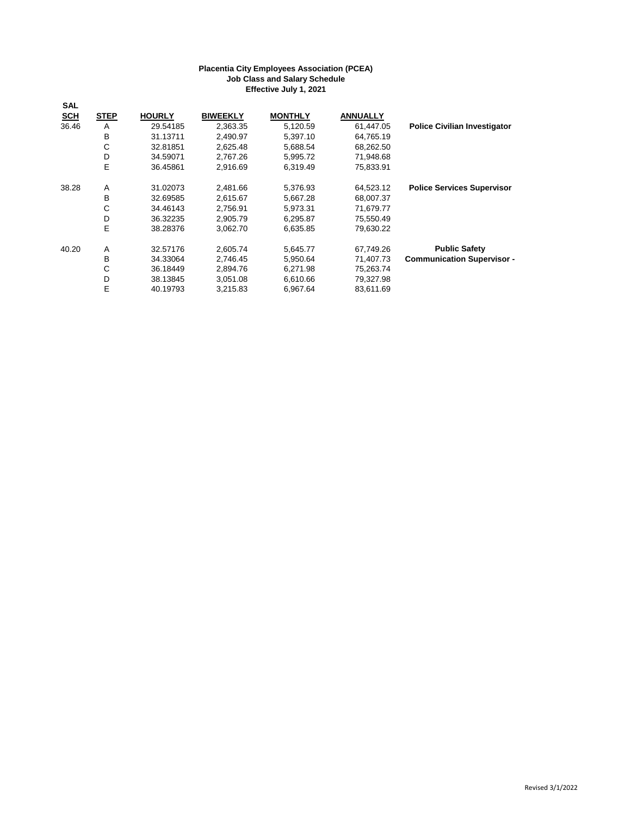| <b>SAL</b> |             |               |                 |                |                 |                                     |
|------------|-------------|---------------|-----------------|----------------|-----------------|-------------------------------------|
| <b>SCH</b> | <b>STEP</b> | <b>HOURLY</b> | <b>BIWEEKLY</b> | <b>MONTHLY</b> | <b>ANNUALLY</b> |                                     |
| 36.46      | A           | 29.54185      | 2,363.35        | 5,120.59       | 61.447.05       | <b>Police Civilian Investigator</b> |
|            | B           | 31.13711      | 2.490.97        | 5,397.10       | 64,765.19       |                                     |
|            | С           | 32.81851      | 2,625.48        | 5,688.54       | 68,262.50       |                                     |
|            | D           | 34.59071      | 2,767.26        | 5,995.72       | 71,948.68       |                                     |
|            | E           | 36.45861      | 2,916.69        | 6,319.49       | 75,833.91       |                                     |
| 38.28      | A           | 31.02073      | 2,481.66        | 5,376.93       | 64,523.12       | <b>Police Services Supervisor</b>   |
|            | B           | 32.69585      | 2,615.67        | 5,667.28       | 68,007.37       |                                     |
|            | С           | 34.46143      | 2,756.91        | 5,973.31       | 71,679.77       |                                     |
|            | D           | 36.32235      | 2,905.79        | 6,295.87       | 75,550.49       |                                     |
|            | E           | 38.28376      | 3,062.70        | 6,635.85       | 79,630.22       |                                     |
| 40.20      | A           | 32.57176      | 2,605.74        | 5,645.77       | 67,749.26       | <b>Public Safety</b>                |
|            | B           | 34.33064      | 2,746.45        | 5,950.64       | 71.407.73       | <b>Communication Supervisor -</b>   |
|            | С           | 36.18449      | 2,894.76        | 6,271.98       | 75,263.74       |                                     |
|            | D           | 38.13845      | 3,051.08        | 6,610.66       | 79,327.98       |                                     |
|            | Е           | 40.19793      | 3,215.83        | 6,967.64       | 83,611.69       |                                     |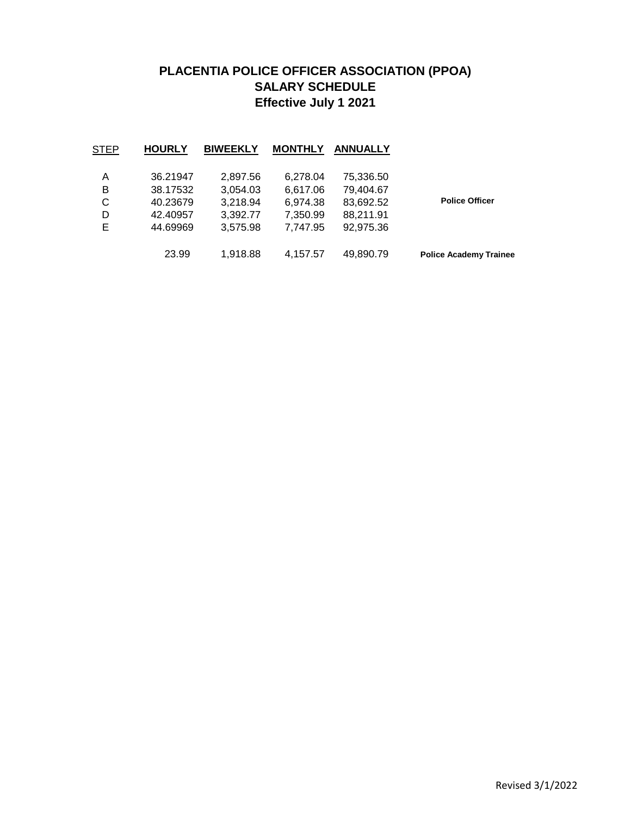# **PLACENTIA POLICE OFFICER ASSOCIATION (PPOA) SALARY SCHEDULE Effective July 1 2021**

|                               | <b>ANNUALLY</b> | <b>MONTHLY</b> | <b>BIWEEKLY</b> | <b>HOURLY</b> | STEP |
|-------------------------------|-----------------|----------------|-----------------|---------------|------|
|                               | 75,336.50       | 6,278.04       | 2,897.56        | 36.21947      | Α    |
|                               | 79,404.67       | 6,617.06       | 3,054.03        | 38.17532      | в    |
| <b>Police Officer</b>         | 83,692.52       | 6,974.38       | 3,218.94        | 40.23679      | С    |
|                               | 88,211.91       | 7,350.99       | 3,392.77        | 42.40957      | D    |
|                               | 92,975.36       | 7,747.95       | 3,575.98        | 44.69969      | Е    |
| <b>Police Academy Trainee</b> | 49,890.79       | 4,157.57       | 1,918.88        | 23.99         |      |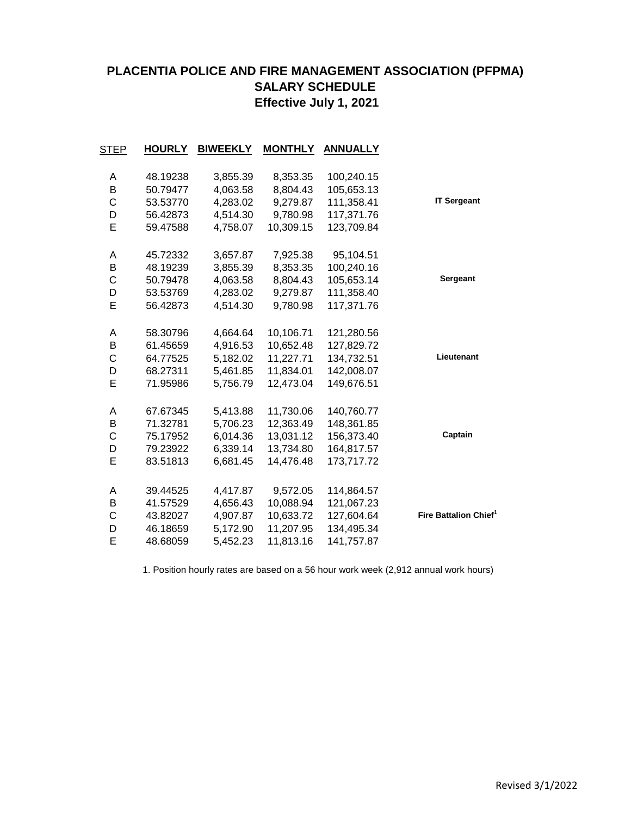## **PLACENTIA POLICE AND FIRE MANAGEMENT ASSOCIATION (PFPMA) SALARY SCHEDULE Effective July 1, 2021**

|                                   | <b>ANNUALLY</b> | <b>MONTHLY</b> | <b>BIWEEKLY</b> | <b>HOURLY</b> | STEP         |
|-----------------------------------|-----------------|----------------|-----------------|---------------|--------------|
|                                   | 100,240.15      | 8,353.35       | 3,855.39        | 48.19238      | Α            |
|                                   | 105,653.13      | 8,804.43       | 4,063.58        | 50.79477      | B            |
| <b>IT Sergeant</b>                | 111,358.41      | 9,279.87       | 4,283.02        | 53.53770      | $\mathsf{C}$ |
|                                   | 117,371.76      | 9,780.98       | 4,514.30        | 56.42873      | D            |
|                                   | 123,709.84      | 10,309.15      | 4,758.07        | 59.47588      | E            |
|                                   | 95,104.51       | 7,925.38       | 3,657.87        | 45.72332      | Α            |
|                                   | 100,240.16      | 8,353.35       | 3,855.39        | 48.19239      | B            |
| Sergeant                          | 105,653.14      | 8,804.43       | 4,063.58        | 50.79478      | C            |
|                                   | 111,358.40      | 9,279.87       | 4,283.02        | 53.53769      | D            |
|                                   | 117,371.76      | 9,780.98       | 4,514.30        | 56.42873      | E            |
|                                   | 121,280.56      | 10,106.71      | 4,664.64        | 58.30796      | A            |
|                                   | 127,829.72      | 10,652.48      | 4,916.53        | 61.45659      | B            |
| Lieutenant                        | 134,732.51      | 11,227.71      | 5,182.02        | 64.77525      | C            |
|                                   | 142,008.07      | 11,834.01      | 5,461.85        | 68.27311      | D            |
|                                   | 149,676.51      | 12,473.04      | 5,756.79        | 71.95986      | E            |
|                                   | 140,760.77      | 11,730.06      | 5,413.88        | 67.67345      | A            |
|                                   | 148,361.85      | 12,363.49      | 5,706.23        | 71.32781      | В            |
| Captain                           | 156,373.40      | 13,031.12      | 6,014.36        | 75.17952      | C            |
|                                   | 164,817.57      | 13,734.80      | 6,339.14        | 79.23922      | D            |
|                                   | 173,717.72      | 14,476.48      | 6,681.45        | 83.51813      | E            |
|                                   | 114,864.57      | 9,572.05       | 4,417.87        | 39.44525      | Α            |
|                                   | 121,067.23      | 10,088.94      | 4,656.43        | 41.57529      | В            |
| Fire Battalion Chief <sup>1</sup> | 127,604.64      | 10,633.72      | 4,907.87        | 43.82027      | C            |
|                                   | 134,495.34      | 11,207.95      | 5,172.90        | 46.18659      | D            |
|                                   | 141,757.87      | 11,813.16      | 5,452.23        | 48.68059      | E            |
|                                   |                 |                |                 |               |              |

1. Position hourly rates are based on a 56 hour work week (2,912 annual work hours)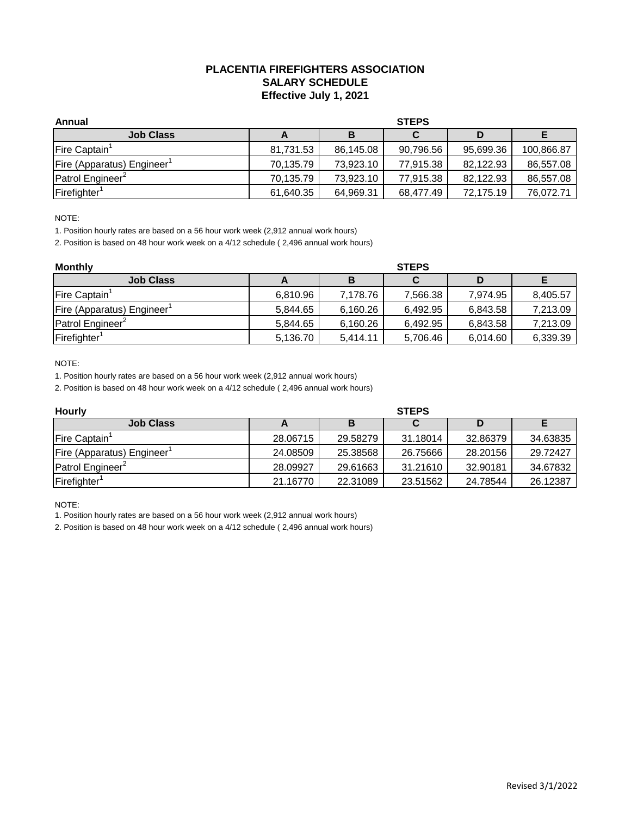## **PLACENTIA FIREFIGHTERS ASSOCIATION SALARY SCHEDULE Effective July 1, 2021**

| Annual                       | <b>STEPS</b> |           |           |           |            |  |
|------------------------------|--------------|-----------|-----------|-----------|------------|--|
| <b>Job Class</b>             |              | В         |           |           |            |  |
| Fire Captain                 | 81,731.53    | 86,145.08 | 90,796.56 | 95,699.36 | 100,866.87 |  |
| Fire (Apparatus) Engineer    | 70,135.79    | 73,923.10 | 77,915.38 | 82,122.93 | 86,557.08  |  |
| Patrol Engineer <sup>2</sup> | 70,135.79    | 73.923.10 | 77.915.38 | 82,122.93 | 86.557.08  |  |
| Firefighter <sup>1</sup>     | 61,640.35    | 64,969.31 | 68,477.49 | 72,175.19 | 76.072.71  |  |

NOTE:

1. Position hourly rates are based on a 56 hour work week (2,912 annual work hours)

2. Position is based on 48 hour work week on a 4/12 schedule ( 2,496 annual work hours)

| <b>Monthly</b>                         | <b>STEPS</b> |          |          |          |          |  |  |
|----------------------------------------|--------------|----------|----------|----------|----------|--|--|
| <b>Job Class</b>                       |              | В        |          |          |          |  |  |
| Fire Captain <sup>1</sup>              | 6,810.96     | 7,178.76 | 7,566.38 | 7.974.95 | 8,405.57 |  |  |
| Fire (Apparatus) Engineer <sup>1</sup> | 5.844.65     | 6,160.26 | 6.492.95 | 6,843.58 | 7,213.09 |  |  |
| Patrol Engineer <sup>2</sup>           | 5,844.65     | 6,160.26 | 6,492.95 | 6,843.58 | 7,213.09 |  |  |
| Firefighter <sup>1</sup>               | 5,136.70     | 5.414.11 | 5,706.46 | 6,014.60 | 6,339.39 |  |  |

NOTE:

1. Position hourly rates are based on a 56 hour work week (2,912 annual work hours)

2. Position is based on 48 hour work week on a 4/12 schedule ( 2,496 annual work hours)

| <b>Hourly</b>                | <b>STEPS</b> |          |          |          |          |  |  |
|------------------------------|--------------|----------|----------|----------|----------|--|--|
| <b>Job Class</b>             |              |          |          |          |          |  |  |
| Fire Captain <sup>1</sup>    | 28.06715     | 29.58279 | 31.18014 | 32.86379 | 34.63835 |  |  |
| Fire (Apparatus) Engineer    | 24.08509     | 25.38568 | 26.75666 | 28.20156 | 29.72427 |  |  |
| Patrol Engineer <sup>2</sup> | 28.09927     | 29.61663 | 31.21610 | 32.90181 | 34.67832 |  |  |
| Firefighter <sup>1</sup>     | 21.16770     | 22.31089 | 23.51562 | 24.78544 | 26.12387 |  |  |

NOTE:

1. Position hourly rates are based on a 56 hour work week (2,912 annual work hours)

2. Position is based on 48 hour work week on a 4/12 schedule ( 2,496 annual work hours)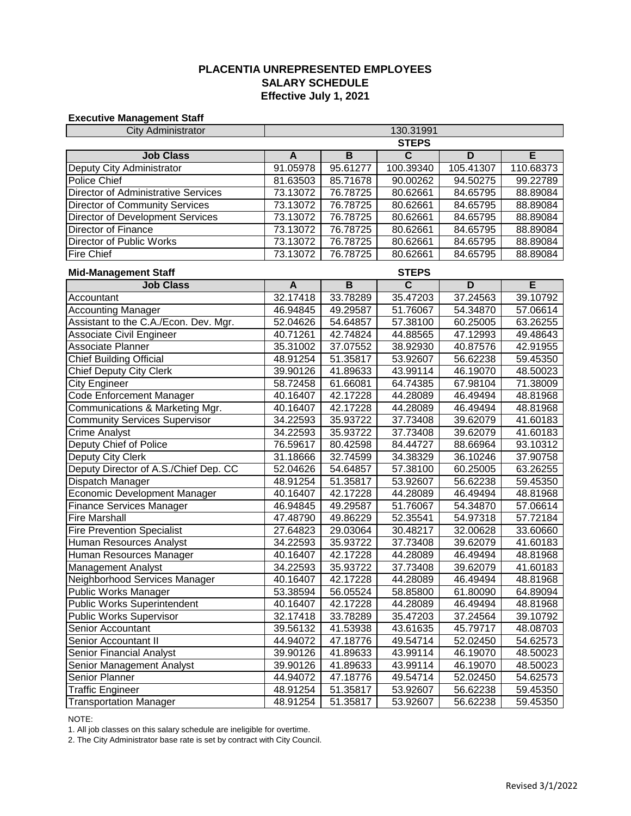## **PLACENTIA UNREPRESENTED EMPLOYEES Effective July 1, 2021 SALARY SCHEDULE**

#### **Executive Management Staff**

| <b>City Administrator</b>                  | 130.31991    |                |                         |                |           |  |
|--------------------------------------------|--------------|----------------|-------------------------|----------------|-----------|--|
|                                            | <b>STEPS</b> |                |                         |                |           |  |
| <b>Job Class</b>                           | A            | $\overline{B}$ | $\overline{\mathsf{c}}$ | D              | Έ         |  |
| Deputy City Administrator                  | 91.05978     | 95.61277       | 100.39340               | 105.41307      | 110.68373 |  |
| Police Chief                               | 81.63503     | 85.71678       | 90.00262                | 94.50275       | 99.22789  |  |
| <b>Director of Administrative Services</b> | 73.13072     | 76.78725       | 80.62661                | 84.65795       | 88.89084  |  |
| <b>Director of Community Services</b>      | 73.13072     | 76.78725       | 80.62661                | 84.65795       | 88.89084  |  |
| Director of Development Services           | 73.13072     | 76.78725       | 80.62661                | 84.65795       | 88.89084  |  |
| Director of Finance                        | 73.13072     | 76.78725       | 80.62661                | 84.65795       | 88.89084  |  |
| Director of Public Works                   | 73.13072     | 76.78725       | 80.62661                | 84.65795       | 88.89084  |  |
| <b>Fire Chief</b>                          | 73.13072     | 76.78725       | 80.62661                | 84.65795       | 88.89084  |  |
| <b>Mid-Management Staff</b>                |              |                | <b>STEPS</b>            |                |           |  |
| <b>Job Class</b>                           | A            | $\overline{B}$ | $\overline{\mathsf{c}}$ | $\overline{D}$ | E         |  |
| Accountant                                 | 32.17418     | 33.78289       | 35.47203                | 37.24563       | 39.10792  |  |
| <b>Accounting Manager</b>                  | 46.94845     | 49.29587       | 51.76067                | 54.34870       | 57.06614  |  |
| Assistant to the C.A./Econ. Dev. Mgr.      | 52.04626     | 54.64857       | 57.38100                | 60.25005       | 63.26255  |  |
| Associate Civil Engineer                   | 40.71261     | 42.74824       | 44.88565                | 47.12993       | 49.48643  |  |
| Associate Planner                          | 35.31002     | 37.07552       | 38.92930                | 40.87576       | 42.91955  |  |
| <b>Chief Building Official</b>             | 48.91254     | 51.35817       | 53.92607                | 56.62238       | 59.45350  |  |
| <b>Chief Deputy City Clerk</b>             | 39.90126     | 41.89633       | 43.99114                | 46.19070       | 48.50023  |  |
| <b>City Engineer</b>                       | 58.72458     | 61.66081       | 64.74385                | 67.98104       | 71.38009  |  |
| Code Enforcement Manager                   | 40.16407     | 42.17228       | 44.28089                | 46.49494       | 48.81968  |  |
| Communications & Marketing Mgr.            | 40.16407     | 42.17228       | 44.28089                | 46.49494       | 48.81968  |  |
| <b>Community Services Supervisor</b>       | 34.22593     | 35.93722       | 37.73408                | 39.62079       | 41.60183  |  |
| <b>Crime Analyst</b>                       | 34.22593     | 35.93722       | 37.73408                | 39.62079       | 41.60183  |  |
| Deputy Chief of Police                     | 76.59617     | 80.42598       | 84.44727                | 88.66964       | 93.10312  |  |
| Deputy City Clerk                          | 31.18666     | 32.74599       | 34.38329                | 36.10246       | 37.90758  |  |
| Deputy Director of A.S./Chief Dep. CC      | 52.04626     | 54.64857       | 57.38100                | 60.25005       | 63.26255  |  |
| Dispatch Manager                           | 48.91254     | 51.35817       | 53.92607                | 56.62238       | 59.45350  |  |
| <b>Economic Development Manager</b>        | 40.16407     | 42.17228       | 44.28089                | 46.49494       | 48.81968  |  |
| Finance Services Manager                   | 46.94845     | 49.29587       | 51.76067                | 54.34870       | 57.06614  |  |
| <b>Fire Marshall</b>                       | 47.48790     | 49.86229       | 52.35541                | 54.97318       | 57.72184  |  |
| <b>Fire Prevention Specialist</b>          | 27.64823     | 29.03064       | 30.48217                | 32.00628       | 33.60660  |  |
| Human Resources Analyst                    | 34.22593     | 35.93722       | 37.73408                | 39.62079       | 41.60183  |  |
| Human Resources Manager                    | 40.16407     | 42.17228       | 44.28089                | 46.49494       | 48.81968  |  |
| <b>Management Analyst</b>                  | 34.22593     | 35.93722       | 37.73408                | 39.62079       | 41.60183  |  |
| Neighborhood Services Manager              | 40.16407     | 42.17228       | 44.28089                | 46.49494       | 48.81968  |  |
| Public Works Manager                       | 53.38594     | 56.05524       | 58.85800                | 61.80090       | 64.89094  |  |
| <b>Public Works Superintendent</b>         | 40.16407     | 42.17228       | 44.28089                | 46.49494       | 48.81968  |  |
| <b>Public Works Supervisor</b>             | 32.17418     | 33.78289       | 35.47203                | 37.24564       | 39.10792  |  |
| Senior Accountant                          | 39.56132     | 41.53938       | 43.61635                | 45.79717       | 48.08703  |  |
| Senior Accountant II                       | 44.94072     | 47.18776       | 49.54714                | 52.02450       | 54.62573  |  |
| Senior Financial Analyst                   | 39.90126     | 41.89633       | 43.99114                | 46.19070       | 48.50023  |  |
| Senior Management Analyst                  | 39.90126     | 41.89633       | 43.99114                | 46.19070       | 48.50023  |  |
| Senior Planner                             | 44.94072     | 47.18776       | 49.54714                | 52.02450       | 54.62573  |  |
| <b>Traffic Engineer</b>                    | 48.91254     | 51.35817       | 53.92607                | 56.62238       | 59.45350  |  |
| <b>Transportation Manager</b>              | 48.91254     | 51.35817       | 53.92607                | 56.62238       | 59.45350  |  |

NOTE:

1. All job classes on this salary schedule are ineligible for overtime.

2. The City Administrator base rate is set by contract with City Council.